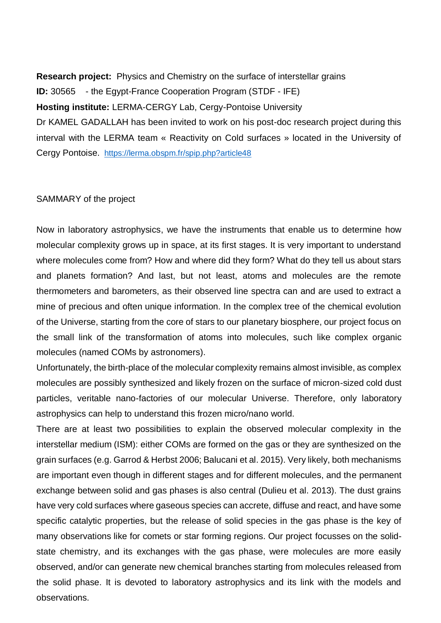**Research project:** Physics and Chemistry on the surface of interstellar grains **ID:** 30565 - the Egypt-France Cooperation Program (STDF - IFE) **Hosting institute:** LERMA-CERGY Lab, Cergy-Pontoise University Dr KAMEL GADALLAH has been invited to work on his post-doc research project during this interval with the LERMA team « Reactivity on Cold surfaces » located in the University of Cergy Pontoise. <https://lerma.obspm.fr/spip.php?article48>

## SAMMARY of the project

Now in laboratory astrophysics, we have the instruments that enable us to determine how molecular complexity grows up in space, at its first stages. It is very important to understand where molecules come from? How and where did they form? What do they tell us about stars and planets formation? And last, but not least, atoms and molecules are the remote thermometers and barometers, as their observed line spectra can and are used to extract a mine of precious and often unique information. In the complex tree of the chemical evolution of the Universe, starting from the core of stars to our planetary biosphere, our project focus on the small link of the transformation of atoms into molecules, such like complex organic molecules (named COMs by astronomers).

Unfortunately, the birth-place of the molecular complexity remains almost invisible, as complex molecules are possibly synthesized and likely frozen on the surface of micron-sized cold dust particles, veritable nano-factories of our molecular Universe. Therefore, only laboratory astrophysics can help to understand this frozen micro/nano world.

There are at least two possibilities to explain the observed molecular complexity in the interstellar medium (ISM): either COMs are formed on the gas or they are synthesized on the grain surfaces (e.g. Garrod & Herbst 2006; Balucani et al. 2015). Very likely, both mechanisms are important even though in different stages and for different molecules, and the permanent exchange between solid and gas phases is also central (Dulieu et al. 2013). The dust grains have very cold surfaces where gaseous species can accrete, diffuse and react, and have some specific catalytic properties, but the release of solid species in the gas phase is the key of many observations like for comets or star forming regions. Our project focusses on the solidstate chemistry, and its exchanges with the gas phase, were molecules are more easily observed, and/or can generate new chemical branches starting from molecules released from the solid phase. It is devoted to laboratory astrophysics and its link with the models and observations.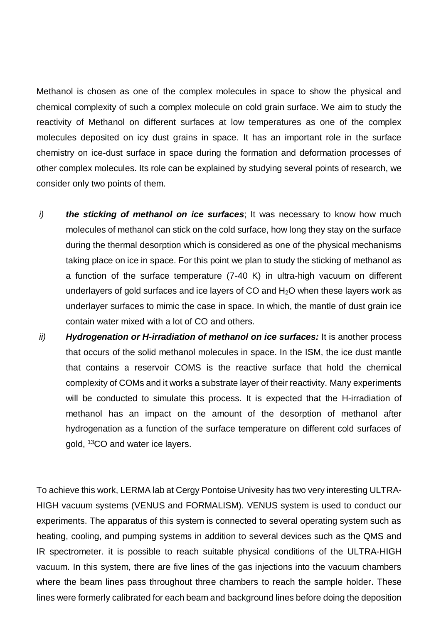Methanol is chosen as one of the complex molecules in space to show the physical and chemical complexity of such a complex molecule on cold grain surface. We aim to study the reactivity of Methanol on different surfaces at low temperatures as one of the complex molecules deposited on icy dust grains in space. It has an important role in the surface chemistry on ice-dust surface in space during the formation and deformation processes of other complex molecules. Its role can be explained by studying several points of research, we consider only two points of them.

- *i) the sticking of methanol on ice surfaces*; It was necessary to know how much molecules of methanol can stick on the cold surface, how long they stay on the surface during the thermal desorption which is considered as one of the physical mechanisms taking place on ice in space. For this point we plan to study the sticking of methanol as a function of the surface temperature (7-40 K) in ultra-high vacuum on different underlayers of gold surfaces and ice layers of CO and H<sub>2</sub>O when these layers work as underlayer surfaces to mimic the case in space. In which, the mantle of dust grain ice contain water mixed with a lot of CO and others.
- *ii) Hydrogenation or H-irradiation of methanol on ice surfaces:* It is another process that occurs of the solid methanol molecules in space. In the ISM, the ice dust mantle that contains a reservoir COMS is the reactive surface that hold the chemical complexity of COMs and it works a substrate layer of their reactivity. Many experiments will be conducted to simulate this process. It is expected that the H-irradiation of methanol has an impact on the amount of the desorption of methanol after hydrogenation as a function of the surface temperature on different cold surfaces of gold, <sup>13</sup>CO and water ice layers.

To achieve this work, LERMA lab at Cergy Pontoise Univesity has two very interesting ULTRA-HIGH vacuum systems (VENUS and FORMALISM). VENUS system is used to conduct our experiments. The apparatus of this system is connected to several operating system such as heating, cooling, and pumping systems in addition to several devices such as the QMS and IR spectrometer. it is possible to reach suitable physical conditions of the ULTRA-HIGH vacuum. In this system, there are five lines of the gas injections into the vacuum chambers where the beam lines pass throughout three chambers to reach the sample holder. These lines were formerly calibrated for each beam and background lines before doing the deposition